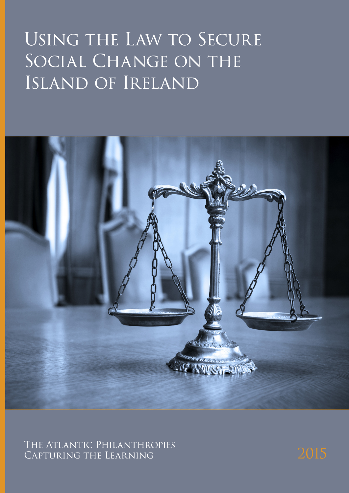# Using the Law to Secure SOCIAL CHANGE ON THE Island of Ireland



The Atlantic Philanthropies CAPTURING THE LEARNING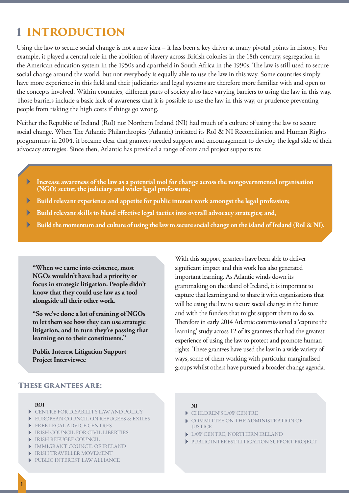## **1 INTRODUCTION**

Using the law to secure social change is not a new idea – it has been a key driver at many pivotal points in history. For example, it played a central role in the abolition of slavery across British colonies in the 18th century, segregation in the American education system in the 1950s and apartheid in South Africa in the 1990s. The law is still used to secure social change around the world, but not everybody is equally able to use the law in this way. Some countries simply have more experience in this field and their judiciaries and legal systems are therefore more familiar with and open to the concepts involved. Within countries, different parts of society also face varying barriers to using the law in this way. Those barriers include a basic lack of awareness that it is possible to use the law in this way, or prudence preventing people from risking the high costs if things go wrong.

Neither the Republic of Ireland (RoI) nor Northern Ireland (NI) had much of a culture of using the law to secure social change. When The Atlantic Philanthropies (Atlantic) initiated its RoI & NI Reconciliation and Human Rights programmes in 2004, it became clear that grantees needed support and encouragement to develop the legal side of their advocacy strategies. Since then, Atlantic has provided a range of core and project supports to:

- $\blacktriangleright$ **Increase awareness of the law as a potential tool for change across the nongovernmental organisation (NGO) sector, the judiciary and wider legal professions;**
- $\blacktriangleright$ **Build relevant experience and appetite for public interest work amongst the legal profession;**
- **Build relevant skills to blend effective legal tactics into overall advocacy strategies; and,** Þ
- **Build the momentum and culture of using the law to secure social change on the island of Ireland (RoI & NI).**  Þ

**"When we came into existence, most NGOs wouldn't have had a priority or focus in strategic litigation. People didn't know that they could use law as a tool alongside all their other work.** 

**"So we've done a lot of training of NGOs to let them see how they can use strategic litigation, and in turn they're passing that learning on to their constituents."** 

**Public Interest Litigation Support Project Interviewee**

#### **These grantees are:**

#### **ROI**

- CENTRE FOR DISABILITY LAW AND POLICY
- EUROPEAN COUNCIL ON REFUGEES & EXILES
- **FREE LEGAL ADVICE CENTRES**
- IRISH COUNCIL FOR CIVIL LIBERTIES
- IRISH REFUGEE COUNCIL
- IMMIGRANT COUNCIL OF IRELAND
- IRISH TRAVELLER MOVEMENT
- PUBLIC INTEREST LAW ALLIANCE

#### **NI**

- CHILDREN'S LAW CENTRE
- COMMITTEE ON THE ADMINISTRATION OF **JUSTICE**

With this support, grantees have been able to deliver significant impact and this work has also generated important learning. As Atlantic winds down its

grantmaking on the island of Ireland, it is important to capture that learning and to share it with organisations that will be using the law to secure social change in the future and with the funders that might support them to do so. Therefore in early 2014 Atlantic commissioned a 'capture the learning' study across 12 of its grantees that had the greatest experience of using the law to protect and promote human rights. These grantees have used the law in a wide variety of ways, some of them working with particular marginalised groups whilst others have pursued a broader change agenda.

- LAW CENTRE, NORTHERN IRELAND
- PUBLIC INTEREST LITIGATION SUPPORT PROJECT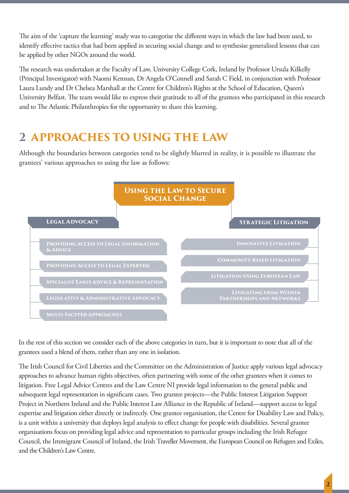The aim of the 'capture the learning' study was to categorise the different ways in which the law had been used, to identify effective tactics that had been applied in securing social change and to synthesise generalised lessons that can be applied by other NGOs around the world.

The research was undertaken at the Faculty of Law, University College Cork, Ireland by Professor Ursula Kilkelly (Principal Investigator) with Naomi Kennan, Dr Angela O'Connell and Sarah C Field, in conjunction with Professor Laura Lundy and Dr Chelsea Marshall at the Centre for Children's Rights at the School of Education, Queen's University Belfast. The team would like to express their gratitude to all of the grantees who participated in this research and to The Atlantic Philanthropies for the opportunity to share this learning.

## **2 APPROACHES TO USING THE LAW**

Although the boundaries between categories tend to be slightly blurred in reality, it is possible to illustrate the grantees' various approaches to using the law as follows:



In the rest of this section we consider each of the above categories in turn, but it is important to note that all of the grantees used a blend of them, rather than any one in isolation.

The Irish Council for Civil Liberties and the Committee on the Administration of Justice apply various legal advocacy approaches to advance human rights objectives, often partnering with some of the other grantees when it comes to litigation. Free Legal Advice Centres and the Law Centre NI provide legal information to the general public and subsequent legal representation in significant cases. Two grantee projects—the Public Interest Litigation Support Project in Northern Ireland and the Public Interest Law Alliance in the Republic of Ireland—support access to legal expertise and litigation either directly or indirectly. One grantee organisation, the Centre for Disability Law and Policy, is a unit within a university that deploys legal analysis to effect change for people with disabilities. Several grantee organisations focus on providing legal advice and representation to particular groups including the Irish Refugee Council, the Immigrant Council of Ireland, the Irish Traveller Movement, the European Council on Refugees and Exiles, and the Children's Law Centre.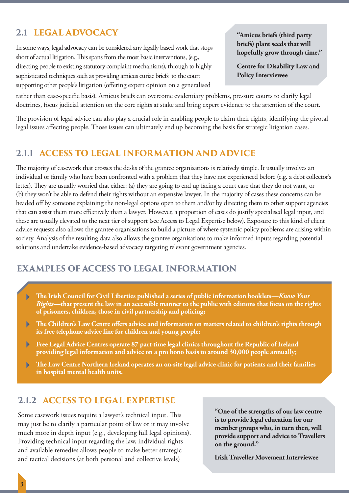## **2.1 LEGAL ADVOCACY**

In some ways, legal advocacy can be considered any legally based work that stops short of actual litigation. This spans from the most basic interventions, (e.g., directing people to existing statutory complaint mechanisms), through to highly sophisticated techniques such as providing amicus curiae briefs to the court supporting other people's litigation (offering expert opinion on a generalised

**"Amicus briefs (third party briefs) plant seeds that will hopefully grow through time."**

**Centre for Disability Law and Policy Interviewee**

rather than case-specific basis). Amicus briefs can overcome evidentiary problems, pressure courts to clarify legal doctrines, focus judicial attention on the core rights at stake and bring expert evidence to the attention of the court.

The provision of legal advice can also play a crucial role in enabling people to claim their rights, identifying the pivotal legal issues affecting people. Those issues can ultimately end up becoming the basis for strategic litigation cases.

## **2.1.1 ACCESS TO LEGAL INFORMATION AND ADVICE**

The majority of casework that crosses the desks of the grantee organisations is relatively simple. It usually involves an individual or family who have been confronted with a problem that they have not experienced before (e.g. a debt collector's letter). They are usually worried that either: (a) they are going to end up facing a court case that they do not want, or (b) they won't be able to defend their rights without an expensive lawyer. In the majority of cases these concerns can be headed off by someone explaining the non-legal options open to them and/or by directing them to other support agencies that can assist them more effectively than a lawyer. However, a proportion of cases do justify specialised legal input, and these are usually elevated to the next tier of support (see Access to Legal Expertise below). Exposure to this kind of client advice requests also allows the grantee organisations to build a picture of where systemic policy problems are arising within society. Analysis of the resulting data also allows the grantee organisations to make informed inputs regarding potential solutions and undertake evidence-based advocacy targeting relevant government agencies.

## **EXAMPLES OF ACCESS TO LEGAL INFORMATION**

- **The Irish Council for Civil Liberties published a series of public information booklets—***Know Your*  Þ *Rights***—that present the law in an accessible manner to the public with editions that focus on the rights of prisoners, children, those in civil partnership and policing;**
- **The Children's Law Centre offers advice and information on matters related to children's rights through**  b **its free telephone advice line for children and young people;**
- **Free Legal Advice Centres operate 87 part-time legal clinics throughout the Republic of Ireland**  Þ **providing legal information and advice on a pro bono basis to around 30,000 people annually;**
- **The Law Centre Northern Ireland operates an on-site legal advice clinic for patients and their families**  D **in hospital mental health units.**

## **2.1.2 ACCESS TO LEGAL EXPERTISE**

Some casework issues require a lawyer's technical input. This may just be to clarify a particular point of law or it may involve much more in depth input (e.g., developing full legal opinions). Providing technical input regarding the law, individual rights and available remedies allows people to make better strategic and tactical decisions (at both personal and collective levels)

**"One of the strengths of our law centre is to provide legal education for our member groups who, in turn then, will provide support and advice to Travellers on the ground."**

**Irish Traveller Movement Interviewee**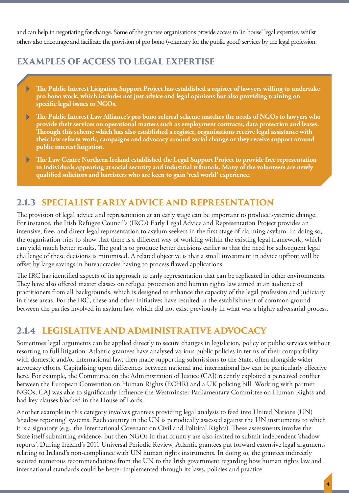and can help in negotiating for change. Some of the grantee organisations provide access to 'in house' legal expertise, whilst others also encourage and facilitate the provision of pro bono (voluntary for the public good) services by the legal profession.

## **EXAMPLES OF ACCESS TO LEGAL EXPERTISE**

- **The Public Interest Litigation Support Project has established a register of lawyers willing to undertake pro bono work, which includes not just advice and legal opinions but also providing training on specific legal issues to NGOs.**
- **The Public Interest Law Alliance's pro bono referral scheme matches the needs of NGOs to lawyers who provide their services on operational matters such as employment contracts, data protection and leases. Through this scheme which has also established a register, organisations receive legal assistance with their law reform work, campaigns and advocacy around social change or they receive support around public interest litigation.**
- **The Law Centre Northern Ireland established the Legal Support Project to provide free representation**  b **to individuals appearing at social security and industrial tribunals. Many of the volunteers are newly qualified solicitors and barristers who are keen to gain 'real world' experience.**

## **2.1.3 SPECIALIST EARLY ADVICE AND REPRESENTATION**

The provision of legal advice and representation at an early stage can be important to produce systemic change. For instance, the Irish Refugee Council's (IRC's) Early Legal Advice and Representation Project provides an intensive, free, and direct legal representation to asylum seekers in the first stage of claiming asylum. In doing so, the organisation tries to show that there is a different way of working within the existing legal framework, which can yield much better results. The goal is to produce better decisions earlier so that the need for subsequent legal challenge of these decisions is minimised. A related objective is that a small investment in advice upfront will be offset by large savings in bureaucracies having to process flawed applications.

The IRC has identified aspects of its approach to early representation that can be replicated in other environments. They have also offered master classes on refugee protection and human rights law aimed at an audience of practitioners from all backgrounds, which is designed to enhance the capacity of the legal profession and judiciary in these areas. For the IRC, these and other initiatives have resulted in the establishment of common ground between the parties involved in asylum law, which did not exist previously in what was a highly adversarial process.

## **2.1.4 LEGISLATIVE AND ADMINISTRATIVE ADVOCACY**

Sometimes legal arguments can be applied directly to secure changes in legislation, policy or public services without resorting to full litigation. Atlantic grantees have analysed various public policies in terms of their compatibility with domestic and/or international law, then made supporting submissions to the State, often alongside wider advocacy efforts. Capitalising upon differences between national and international law can be particularly effective here. For example, the Committee on the Administration of Justice (CAJ) recently exploited a perceived conflict between the European Convention on Human Rights (ECHR) and a UK policing bill. Working with partner NGOs, CAJ was able to significantly influence the Westminster Parliamentary Committee on Human Rights and had key clauses blocked in the House of Lords.

Another example in this category involves grantees providing legal analysis to feed into United Nations (UN) 'shadow reporting' systems. Each country in the UN is periodically assessed against the UN instruments to which it is a signatory (e.g., the International Covenant on Civil and Political Rights). These assessments involve the State itself submitting evidence, but then NGOs in that country are also invited to submit independent 'shadow reports'. During Ireland's 2011 Universal Periodic Review, Atlantic grantees put forward extensive legal arguments relating to Ireland's non-compliance with UN human rights instruments. In doing so, the grantees indirectly secured numerous recommendations from the UN to the Irish government regarding how human rights law and international standards could be better implemented through its laws, policies and practice.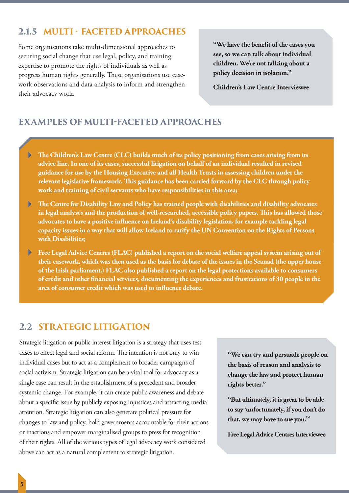## **2.1.5 MULTI - FACETED APPROACHES**

Some organisations take multi-dimensional approaches to securing social change that use legal, policy, and training expertise to promote the rights of individuals as well as progress human rights generally. These organisations use casework observations and data analysis to inform and strengthen their advocacy work.

**"We have the benefit of the cases you see, so we can talk about individual children. We're not talking about a policy decision in isolation."**

**Children's Law Centre Interviewee**

## **EXAMPLES OF MULTI-FACETED APPROACHES**

- **The Children's Law Centre (CLC) builds much of its policy positioning from cases arising from its**   $\blacktriangleright$ **advice line. In one of its cases, successful litigation on behalf of an individual resulted in revised guidance for use by the Housing Executive and all Health Trusts in assessing children under the relevant legislative framework. This guidance has been carried forward by the CLC through policy work and training of civil servants who have responsibilities in this area;**
- **The Centre for Disability Law and Policy has trained people with disabilities and disability advocates**  ь **in legal analyses and the production of well-researched, accessible policy papers. This has allowed those advocates to have a positive influence on Ireland's disability legislation, for example tackling legal capacity issues in a way that will allow Ireland to ratify the UN Convention on the Rights of Persons with Disabilities;**
- $\blacktriangleright$ **Free Legal Advice Centres (FLAC) published a report on the social welfare appeal system arising out of their casework, which was then used as the basis for debate of the issues in the Seanad (the upper house of the Irish parliament.) FLAC also published a report on the legal protections available to consumers of credit and other financial services, documenting the experiences and frustrations of 30 people in the area of consumer credit which was used to influence debate.**

## **2.2 STRATEGIC LITIGATION**

Strategic litigation or public interest litigation is a strategy that uses test cases to effect legal and social reform. The intention is not only to win individual cases but to act as a complement to broader campaigns of social activism. Strategic litigation can be a vital tool for advocacy as a single case can result in the establishment of a precedent and broader systemic change. For example, it can create public awareness and debate about a specific issue by publicly exposing injustices and attracting media attention. Strategic litigation can also generate political pressure for changes to law and policy, hold governments accountable for their actions or inactions and empower marginalised groups to press for recognition of their rights. All of the various types of legal advocacy work considered above can act as a natural complement to strategic litigation.

**"We can try and persuade people on the basis of reason and analysis to change the law and protect human rights better."**

**"But ultimately, it is great to be able to say 'unfortunately, if you don't do that, we may have to sue you.'"**

**Free Legal Advice Centres Interviewee**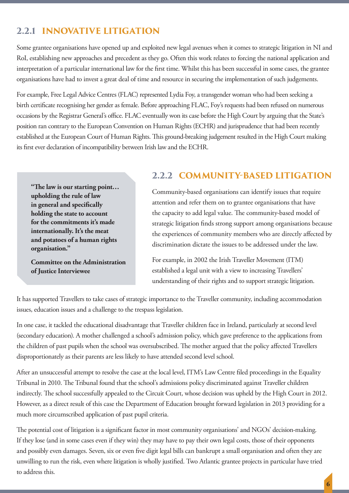## **2.2.1 INNOVATIVE LITIGATION**

Some grantee organisations have opened up and exploited new legal avenues when it comes to strategic litigation in NI and RoI, establishing new approaches and precedent as they go. Often this work relates to forcing the national application and interpretation of a particular international law for the first time. Whilst this has been successful in some cases, the grantee organisations have had to invest a great deal of time and resource in securing the implementation of such judgements.

For example, Free Legal Advice Centres (FLAC) represented Lydia Foy, a transgender woman who had been seeking a birth certificate recognising her gender as female. Before approaching FLAC, Foy's requests had been refused on numerous occasions by the Registrar General's office. FLAC eventually won its case before the High Court by arguing that the State's position ran contrary to the European Convention on Human Rights (ECHR) and jurisprudence that had been recently established at the European Court of Human Rights. This ground-breaking judgement resulted in the High Court making its first ever declaration of incompatibility between Irish law and the ECHR.

**"The law is our starting point… upholding the rule of law in general and specifically holding the state to account for the commitments it's made internationally. It's the meat and potatoes of a human rights organisation."**

**Committee on the Administration of Justice Interviewee**

## **2.2.2 COMMUNITY-BASED LITIGATION**

Community-based organisations can identify issues that require attention and refer them on to grantee organisations that have the capacity to add legal value. The community-based model of strategic litigation finds strong support among organisations because the experiences of community members who are directly affected by discrimination dictate the issues to be addressed under the law.

For example, in 2002 the Irish Traveller Movement (ITM) established a legal unit with a view to increasing Travellers' understanding of their rights and to support strategic litigation.

It has supported Travellers to take cases of strategic importance to the Traveller community, including accommodation issues, education issues and a challenge to the trespass legislation.

In one case, it tackled the educational disadvantage that Traveller children face in Ireland, particularly at second level (secondary education). A mother challenged a school's admission policy, which gave preference to the applications from the children of past pupils when the school was oversubscribed. The mother argued that the policy affected Travellers disproportionately as their parents are less likely to have attended second level school.

After an unsuccessful attempt to resolve the case at the local level, ITM's Law Centre filed proceedings in the Equality Tribunal in 2010. The Tribunal found that the school's admissions policy discriminated against Traveller children indirectly. The school successfully appealed to the Circuit Court, whose decision was upheld by the High Court in 2012. However, as a direct result of this case the Department of Education brought forward legislation in 2013 providing for a much more circumscribed application of past pupil criteria.

The potential cost of litigation is a significant factor in most community organisations' and NGOs' decision-making. If they lose (and in some cases even if they win) they may have to pay their own legal costs, those of their opponents and possibly even damages. Seven, six or even five digit legal bills can bankrupt a small organisation and often they are unwilling to run the risk, even where litigation is wholly justified. Two Atlantic grantee projects in particular have tried to address this.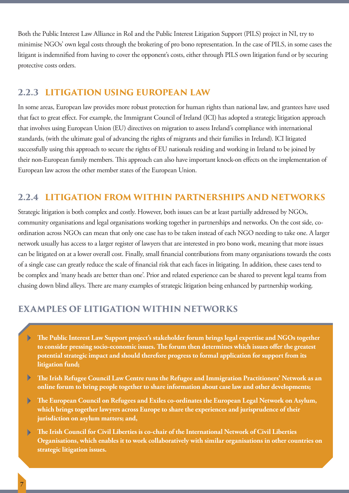Both the Public Interest Law Alliance in RoI and the Public Interest Litigation Support (PILS) project in NI, try to minimise NGOs' own legal costs through the brokering of pro bono representation. In the case of PILS, in some cases the litigant is indemnified from having to cover the opponent's costs, either through PILS own litigation fund or by securing protective costs orders.

### **2.2.3 LITIGATION USING EUROPEAN LAW**

In some areas, European law provides more robust protection for human rights than national law, and grantees have used that fact to great effect. For example, the Immigrant Council of Ireland (ICI) has adopted a strategic litigation approach that involves using European Union (EU) directives on migration to assess Ireland's compliance with international standards, (with the ultimate goal of advancing the rights of migrants and their families in Ireland). ICI litigated successfully using this approach to secure the rights of EU nationals residing and working in Ireland to be joined by their non-European family members. This approach can also have important knock-on effects on the implementation of European law across the other member states of the European Union.

## **2.2.4 LITIGATION FROM WITHIN PARTNERSHIPS AND NETWORKS**

Strategic litigation is both complex and costly. However, both issues can be at least partially addressed by NGOs, community organisations and legal organisations working together in partnerships and networks. On the cost side, coordination across NGOs can mean that only one case has to be taken instead of each NGO needing to take one. A larger network usually has access to a larger register of lawyers that are interested in pro bono work, meaning that more issues can be litigated on at a lower overall cost. Finally, small financial contributions from many organisations towards the costs of a single case can greatly reduce the scale of financial risk that each faces in litigating. In addition, these cases tend to be complex and 'many heads are better than one'. Prior and related experience can be shared to prevent legal teams from chasing down blind alleys. There are many examples of strategic litigation being enhanced by partnership working.

## **EXAMPLES OF LITIGATION WITHIN NETWORKS**

- **The Public Interest Law Support project's stakeholder forum brings legal expertise and NGOs together**   $\blacktriangleright$ **to consider pressing socio-economic issues. The forum then determines which issues offer the greatest potential strategic impact and should therefore progress to formal application for support from its litigation fund;**
- $\blacktriangleright$ **The Irish Refugee Council Law Centre runs the Refugee and Immigration Practitioners' Network as an online forum to bring people together to share information about case law and other developments;**
- **The European Council on Refugees and Exiles co-ordinates the European Legal Network on Asylum, which brings together lawyers across Europe to share the experiences and jurisprudence of their jurisdiction on asylum matters; and,**
- **The Irish Council for Civil Liberties is co-chair of the International Network of Civil Liberties**   $\blacksquare$ **Organisations, which enables it to work collaboratively with similar organisations in other countries on strategic litigation issues.**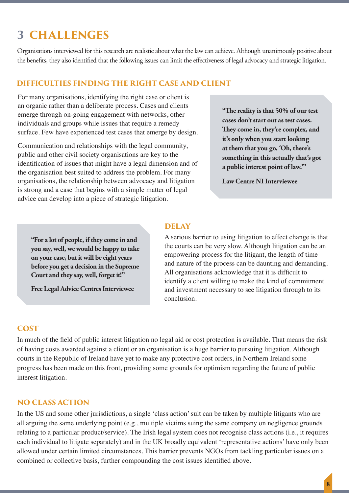## **3 CHALLENGES**

Organisations interviewed for this research are realistic about what the law can achieve. Although unanimously positive about the benefits, they also identified that the following issues can limit the effectiveness of legal advocacy and strategic litigation.

### **DIFFICULTIES FINDING THE RIGHT CASE AND CLIENT**

For many organisations, identifying the right case or client is an organic rather than a deliberate process. Cases and clients emerge through on-going engagement with networks, other individuals and groups while issues that require a remedy surface. Few have experienced test cases that emerge by design.

Communication and relationships with the legal community, public and other civil society organisations are key to the identification of issues that might have a legal dimension and of the organisation best suited to address the problem. For many organisations, the relationship between advocacy and litigation is strong and a case that begins with a simple matter of legal advice can develop into a piece of strategic litigation.

**"The reality is that 50% of our test cases don't start out as test cases. They come in, they're complex, and it's only when you start looking at them that you go, 'Oh, there's something in this actually that's got a public interest point of law.'"**

**Law Centre NI Interviewee**

**"For a lot of people, if they come in and you say, well, we would be happy to take on your case, but it will be eight years before you get a decision in the Supreme Court and they say, well, forget it!"**

**Free Legal Advice Centres Interviewee**

### **DELAY**

A serious barrier to using litigation to effect change is that the courts can be very slow. Although litigation can be an empowering process for the litigant, the length of time and nature of the process can be daunting and demanding. All organisations acknowledge that it is difficult to identify a client willing to make the kind of commitment and investment necessary to see litigation through to its conclusion.

#### **COST**

In much of the field of public interest litigation no legal aid or cost protection is available. That means the risk of having costs awarded against a client or an organisation is a huge barrier to pursuing litigation. Although courts in the Republic of Ireland have yet to make any protective cost orders, in Northern Ireland some progress has been made on this front, providing some grounds for optimism regarding the future of public interest litigation.

#### **NO CLASS ACTION**

In the US and some other jurisdictions, a single 'class action' suit can be taken by multiple litigants who are all arguing the same underlying point (e.g., multiple victims suing the same company on negligence grounds relating to a particular product/service). The Irish legal system does not recognise class actions (i.e., it requires each individual to litigate separately) and in the UK broadly equivalent 'representative actions' have only been allowed under certain limited circumstances. This barrier prevents NGOs from tackling particular issues on a combined or collective basis, further compounding the cost issues identified above.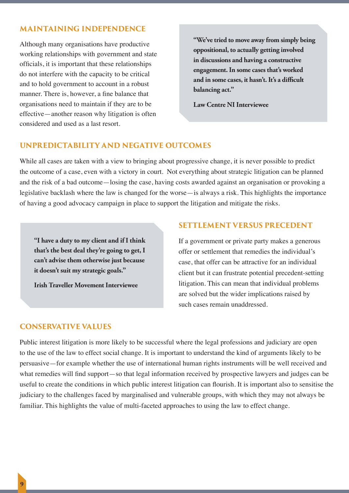#### **MAINTAINING INDEPENDENCE**

Although many organisations have productive working relationships with government and state officials, it is important that these relationships do not interfere with the capacity to be critical and to hold government to account in a robust manner. There is, however, a fine balance that organisations need to maintain if they are to be effective—another reason why litigation is often considered and used as a last resort.

**"We've tried to move away from simply being oppositional, to actually getting involved in discussions and having a constructive engagement. In some cases that's worked and in some cases, it hasn't. It's a difficult balancing act."**

**Law Centre NI Interviewee**

#### **UNPREDICTABILITY AND NEGATIVE OUTCOMES**

While all cases are taken with a view to bringing about progressive change, it is never possible to predict the outcome of a case, even with a victory in court. Not everything about strategic litigation can be planned and the risk of a bad outcome—losing the case, having costs awarded against an organisation or provoking a legislative backlash where the law is changed for the worse—is always a risk. This highlights the importance of having a good advocacy campaign in place to support the litigation and mitigate the risks.

**"I have a duty to my client and if I think that's the best deal they're going to get, I can't advise them otherwise just because it doesn't suit my strategic goals."**

**Irish Traveller Movement Interviewee**

#### **SETTLEMENT VERSUS PRECEDENT**

If a government or private party makes a generous offer or settlement that remedies the individual's case, that offer can be attractive for an individual client but it can frustrate potential precedent-setting litigation. This can mean that individual problems are solved but the wider implications raised by such cases remain unaddressed.

#### **CONSERVATIVE VALUES**

Public interest litigation is more likely to be successful where the legal professions and judiciary are open to the use of the law to effect social change. It is important to understand the kind of arguments likely to be persuasive—for example whether the use of international human rights instruments will be well received and what remedies will find support—so that legal information received by prospective lawyers and judges can be useful to create the conditions in which public interest litigation can flourish. It is important also to sensitise the judiciary to the challenges faced by marginalised and vulnerable groups, with which they may not always be familiar. This highlights the value of multi-faceted approaches to using the law to effect change.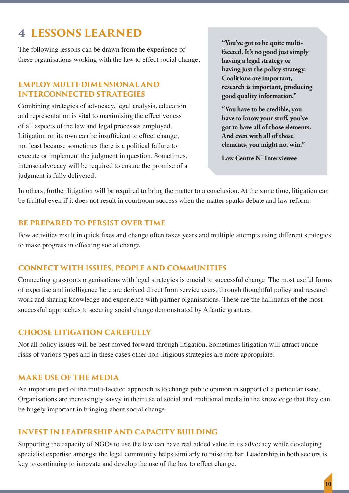## **4 LESSONS LEARNED**

The following lessons can be drawn from the experience of these organisations working with the law to effect social change.

#### **EMPLOY MULTI-DIMENSIONAL AND INTERCONNECTED STRATEGIES**

Combining strategies of advocacy, legal analysis, education and representation is vital to maximising the effectiveness of all aspects of the law and legal processes employed. Litigation on its own can be insufficient to effect change, not least because sometimes there is a political failure to execute or implement the judgment in question. Sometimes, intense advocacy will be required to ensure the promise of a judgment is fully delivered.

**"You've got to be quite multifaceted. It's no good just simply having a legal strategy or having just the policy strategy. Coalitions are important, research is important, producing good quality information."**

**"You have to be credible, you have to know your stuff, you've got to have all of those elements. And even with all of those elements, you might not win."**

**Law Centre NI Interviewee**

In others, further litigation will be required to bring the matter to a conclusion. At the same time, litigation can be fruitful even if it does not result in courtroom success when the matter sparks debate and law reform.

### **BE PREPARED TO PERSIST OVER TIME**

Few activities result in quick fixes and change often takes years and multiple attempts using different strategies to make progress in effecting social change.

#### **CONNECT WITH ISSUES, PEOPLE AND COMMUNITIES**

Connecting grassroots organisations with legal strategies is crucial to successful change. The most useful forms of expertise and intelligence here are derived direct from service users, through thoughtful policy and research work and sharing knowledge and experience with partner organisations. These are the hallmarks of the most successful approaches to securing social change demonstrated by Atlantic grantees.

#### **CHOOSE LITIGATION CAREFULLY**

Not all policy issues will be best moved forward through litigation. Sometimes litigation will attract undue risks of various types and in these cases other non-litigious strategies are more appropriate.

#### **MAKE USE OF THE MEDIA**

An important part of the multi-faceted approach is to change public opinion in support of a particular issue. Organisations are increasingly savvy in their use of social and traditional media in the knowledge that they can be hugely important in bringing about social change.

#### **INVEST IN LEADERSHIP AND CAPACITY BUILDING**

Supporting the capacity of NGOs to use the law can have real added value in its advocacy while developing specialist expertise amongst the legal community helps similarly to raise the bar. Leadership in both sectors is key to continuing to innovate and develop the use of the law to effect change.

**10**